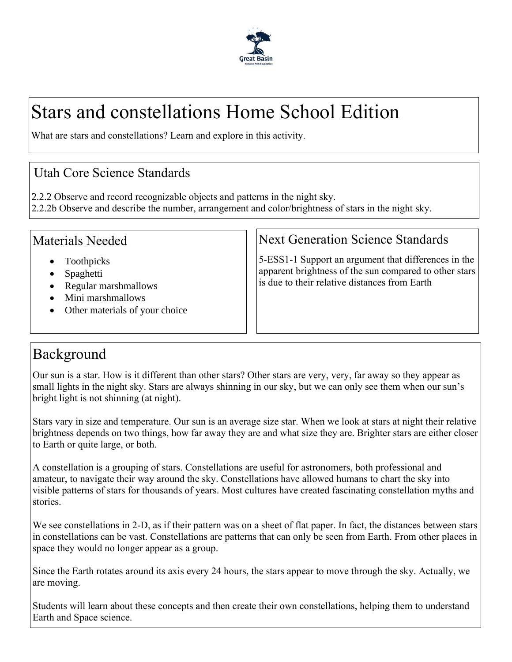

# Stars and constellations Home School Edition

What are stars and constellations? Learn and explore in this activity.

#### Utah Core Science Standards

2.2.2 Observe and record recognizable objects and patterns in the night sky.

2.2.2b Observe and describe the number, arrangement and color/brightness of stars in the night sky.

#### Materials Needed

- Toothpicks
- Spaghetti
- Regular marshmallows
- Mini marshmallows
- Other materials of your choice

#### Next Generation Science Standards

5-ESS1-1 Support an argument that differences in the apparent brightness of the sun compared to other stars is due to their relative distances from Earth

### Background

Our sun is a star. How is it different than other stars? Other stars are very, very, far away so they appear as small lights in the night sky. Stars are always shinning in our sky, but we can only see them when our sun's bright light is not shinning (at night).

Stars vary in size and temperature. Our sun is an average size star. When we look at stars at night their relative brightness depends on two things, how far away they are and what size they are. Brighter stars are either closer to Earth or quite large, or both.

A constellation is a grouping of stars. Constellations are useful for astronomers, both professional and amateur, to navigate their way around the sky. Constellations have allowed humans to chart the sky into visible patterns of stars for thousands of years. Most cultures have created fascinating constellation myths and stories.

We see constellations in 2-D, as if their pattern was on a sheet of flat paper. In fact, the distances between stars in constellations can be vast. Constellations are patterns that can only be seen from Earth. From other places in space they would no longer appear as a group.

Since the Earth rotates around its axis every 24 hours, the stars appear to move through the sky. Actually, we are moving.

Students will learn about these concepts and then create their own constellations, helping them to understand Earth and Space science.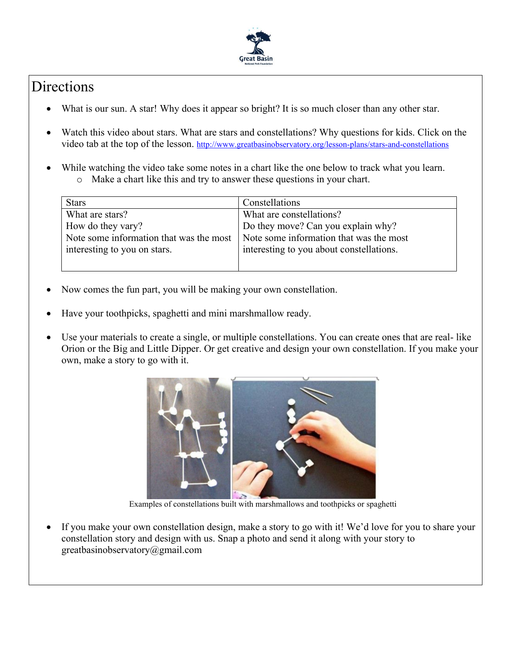

## Directions

- What is our sun. A star! Why does it appear so bright? It is so much closer than any other star.
- Watch this video about stars. What are stars and constellations? Why questions for kids. Click on the video tab at the top of the lesson. <http://www.greatbasinobservatory.org/lesson-plans/stars-and-constellations>
- While watching the video take some notes in a chart like the one below to track what you learn. o Make a chart like this and try to answer these questions in your chart.

| <b>Stars</b>                                                                            | Constellations                           |
|-----------------------------------------------------------------------------------------|------------------------------------------|
| What are stars?                                                                         | What are constellations?                 |
| How do they vary?                                                                       | Do they move? Can you explain why?       |
| Note some information that was the most $\vert$ Note some information that was the most |                                          |
| interesting to you on stars.                                                            | interesting to you about constellations. |
|                                                                                         |                                          |

- Now comes the fun part, you will be making your own constellation.
- Have your toothpicks, spaghetti and mini marshmallow ready.
- Use your materials to create a single, or multiple constellations. You can create ones that are real- like Orion or the Big and Little Dipper. Or get creative and design your own constellation. If you make your own, make a story to go with it.



Examples of constellations built with marshmallows and toothpicks or spaghetti

If you make your own constellation design, make a story to go with it! We'd love for you to share your constellation story and design with us. Snap a photo and send it along with your story to greatbasinobservatory@gmail.com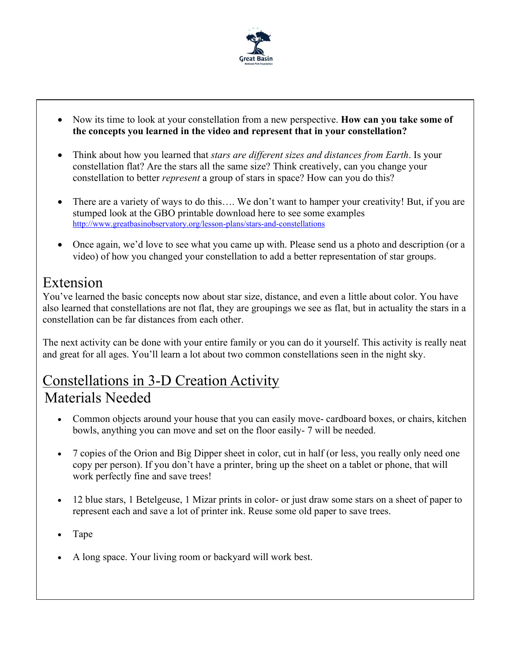

- Now its time to look at your constellation from a new perspective. **How can you take some of the concepts you learned in the video and represent that in your constellation?**
- Think about how you learned that *stars are different sizes and distances from Earth*. Is your constellation flat? Are the stars all the same size? Think creatively, can you change your constellation to better *represent* a group of stars in space? How can you do this?
- There are a variety of ways to do this.... We don't want to hamper your creativity! But, if you are stumped look at the GBO printable download here to see some examples <http://www.greatbasinobservatory.org/lesson-plans/stars-and-constellations>
- Once again, we'd love to see what you came up with. Please send us a photo and description (or a video) of how you changed your constellation to add a better representation of star groups.

### Extension

You've learned the basic concepts now about star size, distance, and even a little about color. You have also learned that constellations are not flat, they are groupings we see as flat, but in actuality the stars in a constellation can be far distances from each other.

The next activity can be done with your entire family or you can do it yourself. This activity is really neat and great for all ages. You'll learn a lot about two common constellations seen in the night sky.

#### Constellations in 3-D Creation Activity Materials Needed

- Common objects around your house that you can easily move-cardboard boxes, or chairs, kitchen bowls, anything you can move and set on the floor easily- 7 will be needed.
- 7 copies of the Orion and Big Dipper sheet in color, cut in half (or less, you really only need one copy per person). If you don't have a printer, bring up the sheet on a tablet or phone, that will work perfectly fine and save trees!
- 12 blue stars, 1 Betelgeuse, 1 Mizar prints in color- or just draw some stars on a sheet of paper to represent each and save a lot of printer ink. Reuse some old paper to save trees.
- Tape
- A long space. Your living room or backyard will work best.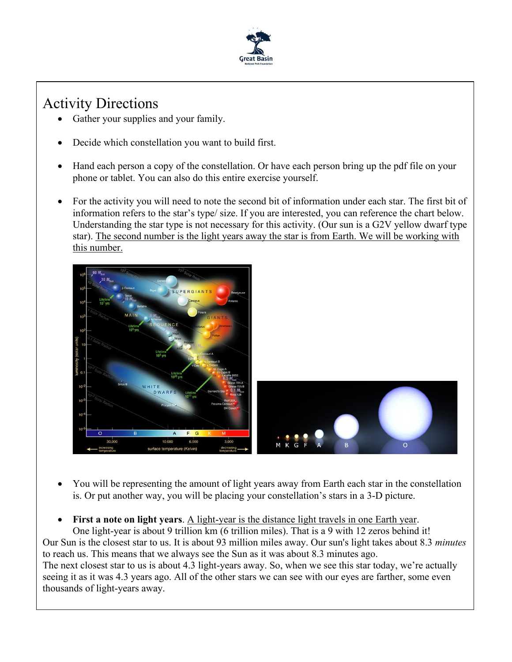

## Activity Directions

- Gather your supplies and your family.
- Decide which constellation you want to build first.
- Hand each person a copy of the constellation. Or have each person bring up the pdf file on your phone or tablet. You can also do this entire exercise yourself.
- For the activity you will need to note the second bit of information under each star. The first bit of information refers to the star's type/ size. If you are interested, you can reference the chart below. Understanding the star type is not necessary for this activity. (Our sun is a G2V yellow dwarf type star). The second number is the light years away the star is from Earth. We will be working with this number.



- You will be representing the amount of light years away from Earth each star in the constellation is. Or put another way, you will be placing your constellation's stars in a 3-D picture.
- First a note on light years. A light-year is the distance light travels in one Earth year.

One light-year is about 9 trillion km (6 trillion miles). That is a 9 with 12 zeros behind it! Our Sun is the closest star to us. It is about 93 million miles away. Our sun's light takes about 8.3 *minutes* to reach us. This means that we always see the Sun as it was about 8.3 minutes ago. The next closest star to us is about 4.3 light-years away. So, when we see this star today, we're actually seeing it as it was 4.3 years ago. All of the other stars we can see with our eyes are farther, some even thousands of light-years away.